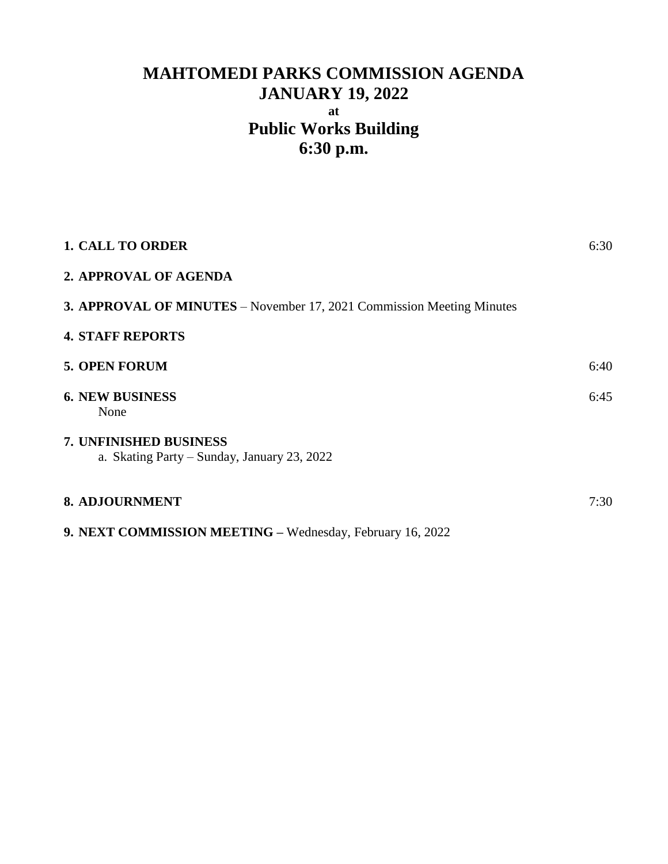# **MAHTOMEDI PARKS COMMISSION AGENDA JANUARY 19, 2022 at Public Works Building 6:30 p.m.**

| <b>1. CALL TO ORDER</b>                                               | 6:30 |
|-----------------------------------------------------------------------|------|
| 2. APPROVAL OF AGENDA                                                 |      |
| 3. APPROVAL OF MINUTES - November 17, 2021 Commission Meeting Minutes |      |
| <b>4. STAFF REPORTS</b>                                               |      |
| <b>5. OPEN FORUM</b>                                                  | 6:40 |
| <b>6. NEW BUSINESS</b><br>None                                        | 6:45 |
| 7. UNFINISHED BUSINESS<br>a. Skating Party – Sunday, January 23, 2022 |      |
| <b>8. ADJOURNMENT</b>                                                 | 7:30 |
| 9. NEXT COMMISSION MEETING - Wednesday, February 16, 2022             |      |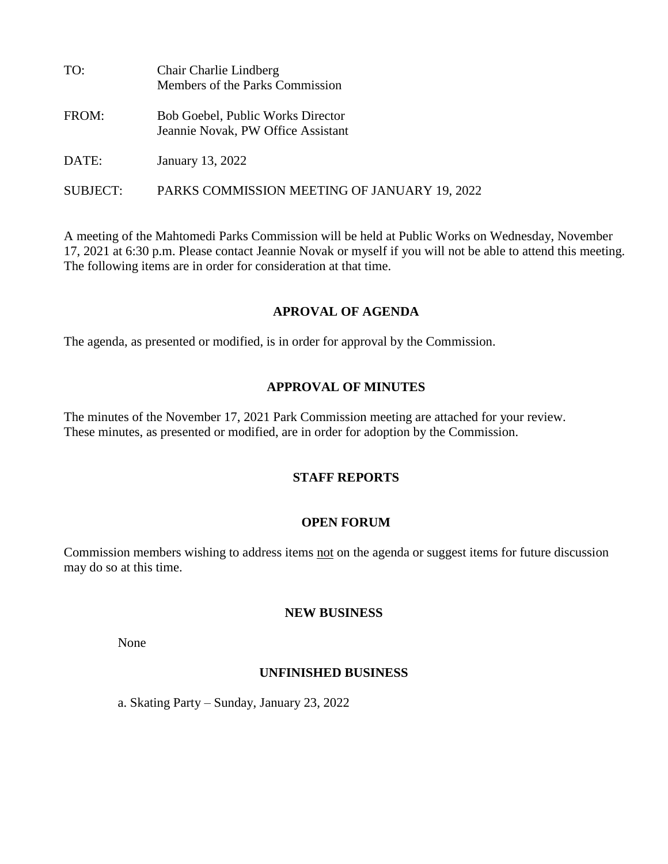| TO:             | Chair Charlie Lindberg<br>Members of the Parks Commission               |
|-----------------|-------------------------------------------------------------------------|
| FROM:           | Bob Goebel, Public Works Director<br>Jeannie Novak, PW Office Assistant |
| DATE:           | January 13, 2022                                                        |
| <b>SUBJECT:</b> | PARKS COMMISSION MEETING OF JANUARY 19, 2022                            |

A meeting of the Mahtomedi Parks Commission will be held at Public Works on Wednesday, November 17, 2021 at 6:30 p.m. Please contact Jeannie Novak or myself if you will not be able to attend this meeting. The following items are in order for consideration at that time.

#### **APROVAL OF AGENDA**

The agenda, as presented or modified, is in order for approval by the Commission.

#### **APPROVAL OF MINUTES**

The minutes of the November 17, 2021 Park Commission meeting are attached for your review. These minutes, as presented or modified, are in order for adoption by the Commission.

#### **STAFF REPORTS**

#### **OPEN FORUM**

Commission members wishing to address items not on the agenda or suggest items for future discussion may do so at this time.

#### **NEW BUSINESS**

None

#### **UNFINISHED BUSINESS**

a. Skating Party – Sunday, January 23, 2022